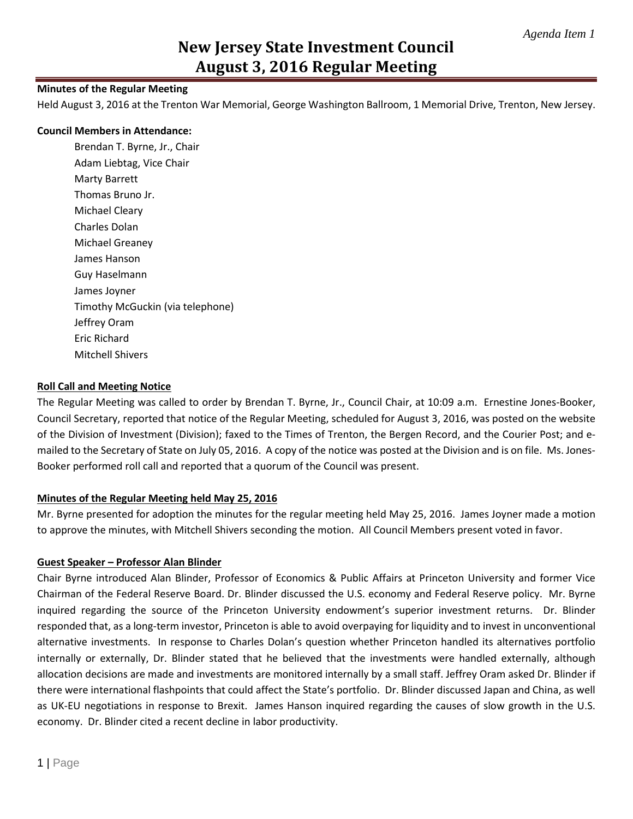## **Minutes of the Regular Meeting**

Held August 3, 2016 at the Trenton War Memorial, George Washington Ballroom, 1 Memorial Drive, Trenton, New Jersey.

#### **Council Members in Attendance:**

Brendan T. Byrne, Jr., Chair Adam Liebtag, Vice Chair Marty Barrett Thomas Bruno Jr. Michael Cleary Charles Dolan Michael Greaney James Hanson Guy Haselmann James Joyner Timothy McGuckin (via telephone) Jeffrey Oram Eric Richard Mitchell Shivers

#### **Roll Call and Meeting Notice**

The Regular Meeting was called to order by Brendan T. Byrne, Jr., Council Chair, at 10:09 a.m. Ernestine Jones-Booker, Council Secretary, reported that notice of the Regular Meeting, scheduled for August 3, 2016, was posted on the website of the Division of Investment (Division); faxed to the Times of Trenton, the Bergen Record, and the Courier Post; and emailed to the Secretary of State on July 05, 2016. A copy of the notice was posted at the Division and is on file. Ms. Jones-Booker performed roll call and reported that a quorum of the Council was present.

#### **Minutes of the Regular Meeting held May 25, 2016**

Mr. Byrne presented for adoption the minutes for the regular meeting held May 25, 2016. James Joyner made a motion to approve the minutes, with Mitchell Shivers seconding the motion. All Council Members present voted in favor.

#### **Guest Speaker – Professor Alan Blinder**

Chair Byrne introduced Alan Blinder, Professor of Economics & Public Affairs at Princeton University and former Vice Chairman of the Federal Reserve Board. Dr. Blinder discussed the U.S. economy and Federal Reserve policy. Mr. Byrne inquired regarding the source of the Princeton University endowment's superior investment returns. Dr. Blinder responded that, as a long-term investor, Princeton is able to avoid overpaying for liquidity and to invest in unconventional alternative investments. In response to Charles Dolan's question whether Princeton handled its alternatives portfolio internally or externally, Dr. Blinder stated that he believed that the investments were handled externally, although allocation decisions are made and investments are monitored internally by a small staff. Jeffrey Oram asked Dr. Blinder if there were international flashpoints that could affect the State's portfolio. Dr. Blinder discussed Japan and China, as well as UK-EU negotiations in response to Brexit. James Hanson inquired regarding the causes of slow growth in the U.S. economy. Dr. Blinder cited a recent decline in labor productivity.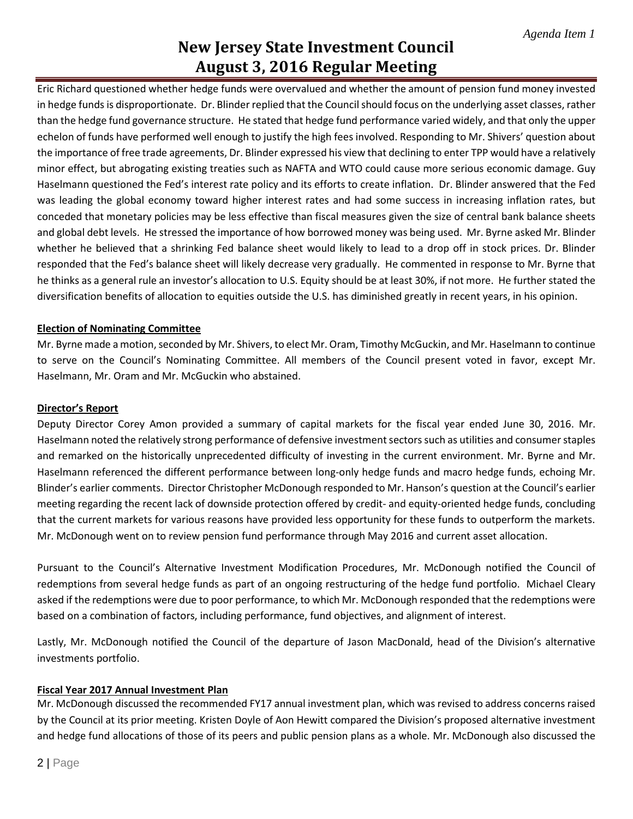Eric Richard questioned whether hedge funds were overvalued and whether the amount of pension fund money invested in hedge funds is disproportionate. Dr. Blinder replied that the Council should focus on the underlying asset classes, rather than the hedge fund governance structure. He stated that hedge fund performance varied widely, and that only the upper echelon of funds have performed well enough to justify the high fees involved. Responding to Mr. Shivers' question about the importance of free trade agreements, Dr. Blinder expressed his view that declining to enter TPP would have a relatively minor effect, but abrogating existing treaties such as NAFTA and WTO could cause more serious economic damage. Guy Haselmann questioned the Fed's interest rate policy and its efforts to create inflation. Dr. Blinder answered that the Fed was leading the global economy toward higher interest rates and had some success in increasing inflation rates, but conceded that monetary policies may be less effective than fiscal measures given the size of central bank balance sheets and global debt levels. He stressed the importance of how borrowed money was being used. Mr. Byrne asked Mr. Blinder whether he believed that a shrinking Fed balance sheet would likely to lead to a drop off in stock prices. Dr. Blinder responded that the Fed's balance sheet will likely decrease very gradually. He commented in response to Mr. Byrne that he thinks as a general rule an investor's allocation to U.S. Equity should be at least 30%, if not more. He further stated the diversification benefits of allocation to equities outside the U.S. has diminished greatly in recent years, in his opinion.

# **Election of Nominating Committee**

Mr. Byrne made a motion, seconded by Mr. Shivers, to elect Mr. Oram, Timothy McGuckin, and Mr. Haselmann to continue to serve on the Council's Nominating Committee. All members of the Council present voted in favor, except Mr. Haselmann, Mr. Oram and Mr. McGuckin who abstained.

# **Director's Report**

Deputy Director Corey Amon provided a summary of capital markets for the fiscal year ended June 30, 2016. Mr. Haselmann noted the relatively strong performance of defensive investment sectorssuch as utilities and consumer staples and remarked on the historically unprecedented difficulty of investing in the current environment. Mr. Byrne and Mr. Haselmann referenced the different performance between long-only hedge funds and macro hedge funds, echoing Mr. Blinder's earlier comments. Director Christopher McDonough responded to Mr. Hanson's question at the Council's earlier meeting regarding the recent lack of downside protection offered by credit- and equity-oriented hedge funds, concluding that the current markets for various reasons have provided less opportunity for these funds to outperform the markets. Mr. McDonough went on to review pension fund performance through May 2016 and current asset allocation.

Pursuant to the Council's Alternative Investment Modification Procedures, Mr. McDonough notified the Council of redemptions from several hedge funds as part of an ongoing restructuring of the hedge fund portfolio. Michael Cleary asked if the redemptions were due to poor performance, to which Mr. McDonough responded that the redemptions were based on a combination of factors, including performance, fund objectives, and alignment of interest.

Lastly, Mr. McDonough notified the Council of the departure of Jason MacDonald, head of the Division's alternative investments portfolio.

# **Fiscal Year 2017 Annual Investment Plan**

Mr. McDonough discussed the recommended FY17 annual investment plan, which was revised to address concerns raised by the Council at its prior meeting. Kristen Doyle of Aon Hewitt compared the Division's proposed alternative investment and hedge fund allocations of those of its peers and public pension plans as a whole. Mr. McDonough also discussed the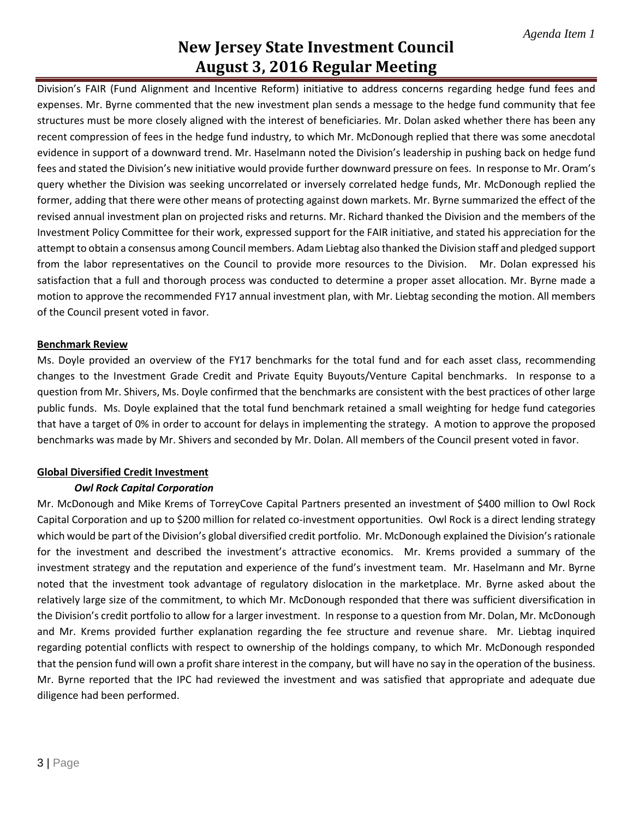Division's FAIR (Fund Alignment and Incentive Reform) initiative to address concerns regarding hedge fund fees and expenses. Mr. Byrne commented that the new investment plan sends a message to the hedge fund community that fee structures must be more closely aligned with the interest of beneficiaries. Mr. Dolan asked whether there has been any recent compression of fees in the hedge fund industry, to which Mr. McDonough replied that there was some anecdotal evidence in support of a downward trend. Mr. Haselmann noted the Division's leadership in pushing back on hedge fund fees and stated the Division's new initiative would provide further downward pressure on fees. In response to Mr. Oram's query whether the Division was seeking uncorrelated or inversely correlated hedge funds, Mr. McDonough replied the former, adding that there were other means of protecting against down markets. Mr. Byrne summarized the effect of the revised annual investment plan on projected risks and returns. Mr. Richard thanked the Division and the members of the Investment Policy Committee for their work, expressed support for the FAIR initiative, and stated his appreciation for the attempt to obtain a consensus among Council members. Adam Liebtag also thanked the Division staff and pledged support from the labor representatives on the Council to provide more resources to the Division. Mr. Dolan expressed his satisfaction that a full and thorough process was conducted to determine a proper asset allocation. Mr. Byrne made a motion to approve the recommended FY17 annual investment plan, with Mr. Liebtag seconding the motion. All members of the Council present voted in favor.

## **Benchmark Review**

Ms. Doyle provided an overview of the FY17 benchmarks for the total fund and for each asset class, recommending changes to the Investment Grade Credit and Private Equity Buyouts/Venture Capital benchmarks. In response to a question from Mr. Shivers, Ms. Doyle confirmed that the benchmarks are consistent with the best practices of other large public funds. Ms. Doyle explained that the total fund benchmark retained a small weighting for hedge fund categories that have a target of 0% in order to account for delays in implementing the strategy. A motion to approve the proposed benchmarks was made by Mr. Shivers and seconded by Mr. Dolan. All members of the Council present voted in favor.

# **Global Diversified Credit Investment**

# *Owl Rock Capital Corporation*

Mr. McDonough and Mike Krems of TorreyCove Capital Partners presented an investment of \$400 million to Owl Rock Capital Corporation and up to \$200 million for related co-investment opportunities. Owl Rock is a direct lending strategy which would be part of the Division's global diversified credit portfolio. Mr. McDonough explained the Division's rationale for the investment and described the investment's attractive economics. Mr. Krems provided a summary of the investment strategy and the reputation and experience of the fund's investment team. Mr. Haselmann and Mr. Byrne noted that the investment took advantage of regulatory dislocation in the marketplace. Mr. Byrne asked about the relatively large size of the commitment, to which Mr. McDonough responded that there was sufficient diversification in the Division's credit portfolio to allow for a larger investment. In response to a question from Mr. Dolan, Mr. McDonough and Mr. Krems provided further explanation regarding the fee structure and revenue share. Mr. Liebtag inquired regarding potential conflicts with respect to ownership of the holdings company, to which Mr. McDonough responded that the pension fund will own a profit share interest in the company, but will have no say in the operation of the business. Mr. Byrne reported that the IPC had reviewed the investment and was satisfied that appropriate and adequate due diligence had been performed.